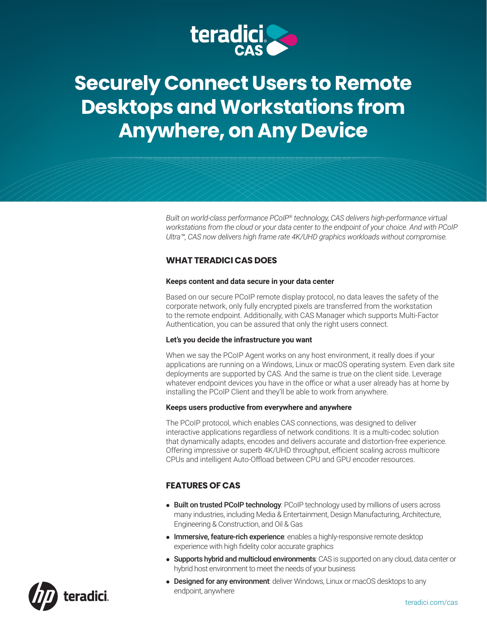

# **Securely Connect Users to Remote Desktops and Workstations from Anywhere, on Any Device**

*Built on world-class performance PCoIP® technology, CAS delivers high-performance virtual workstations from the cloud or your data center to the endpoint of your choice. And with PCoIP Ultra™, CAS now delivers high frame rate 4K/UHD graphics workloads without compromise.*

# **WHAT TERADICI CAS DOES**

#### **Keeps content and data secure in your data center**

Based on our secure PCoIP remote display protocol, no data leaves the safety of the corporate network, only fully encrypted pixels are transferred from the workstation to the remote endpoint. Additionally, with CAS Manager which supports Multi-Factor Authentication, you can be assured that only the right users connect.

#### **Let's you decide the infrastructure you want**

When we say the PCoIP Agent works on any host environment, it really does if your applications are running on a Windows, Linux or macOS operating system. Even dark site deployments are supported by CAS. And the same is true on the client side. Leverage whatever endpoint devices you have in the office or what a user already has at home by installing the PCoIP Client and they'll be able to work from anywhere.

#### **Keeps users productive from everywhere and anywhere**

The PCoIP protocol, which enables CAS connections, was designed to deliver interactive applications regardless of network conditions. It is a multi-codec solution that dynamically adapts, encodes and delivers accurate and distortion-free experience. Offering impressive or superb 4K/UHD throughput, efficient scaling across multicore CPUs and intelligent Auto-Offload between CPU and GPU encoder resources.

# **FEATURES OF CAS**

- Built on trusted PCoIP technology: PCoIP technology used by millions of users across many industries, including Media & Entertainment, Design Manufacturing, Architecture, Engineering & Construction, and Oil & Gas
- **Immersive, feature-rich experience**: enables a highly-responsive remote desktop experience with high fidelity color accurate graphics
- **.** Supports hybrid and multicloud environments: CAS is supported on any cloud, data center or hybrid host environment to meet the needs of your business
- **.** Designed for any environment: deliver Windows, Linux or macOS desktops to any endpoint, anywhere